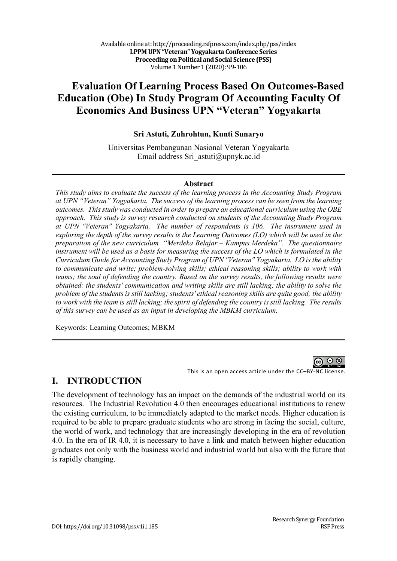# **Evaluation Of Learning Process Based On Outcomes-Based Education (Obe) In Study Program Of Accounting Faculty Of Economics And Business UPN "Veteran" Yogyakarta**

**Sri Astuti, Zuhrohtun, Kunti Sunaryo**

Universitas Pembangunan Nasional Veteran Yogyakarta Email address Sri\_astuti@upnyk.ac.id

#### **Abstract**

*This study aims to evaluate the success of the learning process in the Accounting Study Program at UPN "Veteran" Yogyakarta. The success of the learning process can be seen from the learning outcomes. This study was conducted in order to prepare an educational curriculum using the OBE approach. This study is survey research conducted on students of the Accounting Study Program at UPN "Veteran" Yogyakarta. The number of respondents is 106. The instrument used in exploring the depth of the survey results is the Learning Outcomes (LO) which will be used in the preparation of the new curriculum "Merdeka Belajar – Kampus Merdeka". The questionnaire instrument will be used as a basis for measuring the success of the LO which is formulated in the Curriculum Guide for Accounting Study Program of UPN "Veteran" Yogyakarta. LO is the ability to communicate and write; problem-solving skills; ethical reasoning skills; ability to work with teams; the soul of defending the country. Based on the survey results, the following results were obtained: the students' communication and writing skills are still lacking; the ability to solve the problem of the students is still lacking; students' ethical reasoning skills are quite good; the ability to work with the team is still lacking; the spirit of defending the country is still lacking. The results of this survey can be used as an input in developing the MBKM curriculum.* 

Keywords: Learning Outcomes; MBKM

This is an open access article under the CC–BY-NC license.

### **I. INTRODUCTION**

The development of technology has an impact on the demands of the industrial world on its resources. The Industrial Revolution 4.0 then encourages educational institutions to renew the existing curriculum, to be immediately adapted to the market needs. Higher education is required to be able to prepare graduate students who are strong in facing the social, culture, the world of work, and technology that are increasingly developing in the era of revolution 4.0. In the era of IR 4.0, it is necessary to have a link and match between higher education graduates not only with the business world and industrial world but also with the future that is rapidly changing.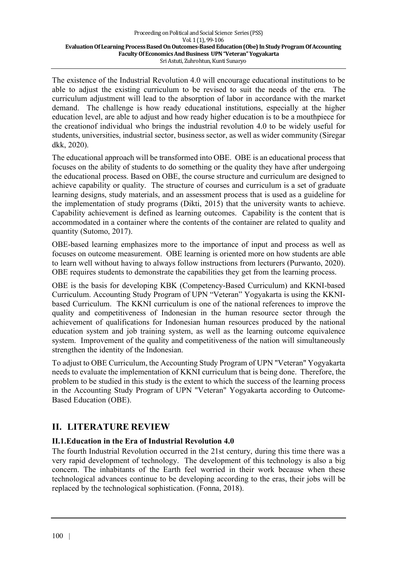The existence of the Industrial Revolution 4.0 will encourage educational institutions to be able to adjust the existing curriculum to be revised to suit the needs of the era. The curriculum adjustment will lead to the absorption of labor in accordance with the market demand. The challenge is how ready educational institutions, especially at the higher education level, are able to adjust and how ready higher education is to be a mouthpiece for the creationof individual who brings the industrial revolution 4.0 to be widely useful for students, universities, industrial sector, business sector, as well as wider community (Siregar dkk, 2020).

The educational approach will be transformed into OBE. OBE is an educational process that focuses on the ability of students to do something or the quality they have after undergoing the educational process. Based on OBE, the course structure and curriculum are designed to achieve capability or quality. The structure of courses and curriculum is a set of graduate learning designs, study materials, and an assessment process that is used as a guideline for the implementation of study programs (Dikti, 2015) that the university wants to achieve. Capability achievement is defined as learning outcomes. Capability is the content that is accommodated in a container where the contents of the container are related to quality and quantity (Sutomo, 2017).

OBE-based learning emphasizes more to the importance of input and process as well as focuses on outcome measurement. OBE learning is oriented more on how students are able to learn well without having to always follow instructions from lecturers (Purwanto, 2020). OBE requires students to demonstrate the capabilities they get from the learning process.

OBE is the basis for developing KBK (Competency-Based Curriculum) and KKNI-based Curriculum. Accounting Study Program of UPN "Veteran" Yogyakarta is using the KKNIbased Curriculum. The KKNI curriculum is one of the national references to improve the quality and competitiveness of Indonesian in the human resource sector through the achievement of qualifications for Indonesian human resources produced by the national education system and job training system, as well as the learning outcome equivalence system. Improvement of the quality and competitiveness of the nation will simultaneously strengthen the identity of the Indonesian.

To adjust to OBE Curriculum, the Accounting Study Program of UPN "Veteran" Yogyakarta needs to evaluate the implementation of KKNI curriculum that is being done. Therefore, the problem to be studied in this study is the extent to which the success of the learning process in the Accounting Study Program of UPN "Veteran" Yogyakarta according to Outcome-Based Education (OBE).

## **II. LITERATURE REVIEW**

### **II.1.Education in the Era of Industrial Revolution 4.0**

The fourth Industrial Revolution occurred in the 21st century, during this time there was a very rapid development of technology. The development of this technology is also a big concern. The inhabitants of the Earth feel worried in their work because when these technological advances continue to be developing according to the eras, their jobs will be replaced by the technological sophistication. (Fonna, 2018).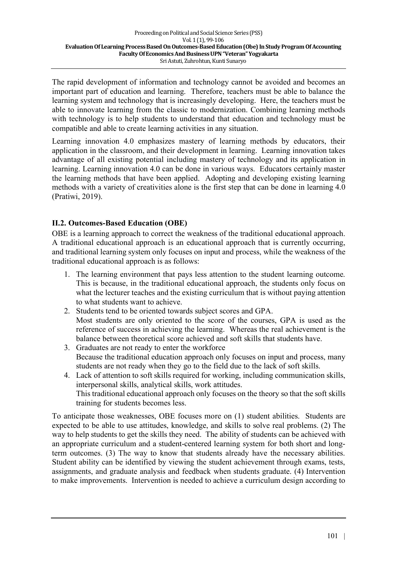The rapid development of information and technology cannot be avoided and becomes an important part of education and learning. Therefore, teachers must be able to balance the learning system and technology that is increasingly developing. Here, the teachers must be able to innovate learning from the classic to modernization. Combining learning methods with technology is to help students to understand that education and technology must be compatible and able to create learning activities in any situation.

Learning innovation 4.0 emphasizes mastery of learning methods by educators, their application in the classroom, and their development in learning. Learning innovation takes advantage of all existing potential including mastery of technology and its application in learning. Learning innovation 4.0 can be done in various ways. Educators certainly master the learning methods that have been applied. Adopting and developing existing learning methods with a variety of creativities alone is the first step that can be done in learning 4.0 (Pratiwi, 2019).

### **II.2. Outcomes-Based Education (OBE)**

OBE is a learning approach to correct the weakness of the traditional educational approach. A traditional educational approach is an educational approach that is currently occurring, and traditional learning system only focuses on input and process, while the weakness of the traditional educational approach is as follows:

- 1. The learning environment that pays less attention to the student learning outcome. This is because, in the traditional educational approach, the students only focus on what the lecturer teaches and the existing curriculum that is without paying attention to what students want to achieve.
- 2. Students tend to be oriented towards subject scores and GPA. Most students are only oriented to the score of the courses, GPA is used as the reference of success in achieving the learning. Whereas the real achievement is the balance between theoretical score achieved and soft skills that students have.
- 3. Graduates are not ready to enter the workforce Because the traditional education approach only focuses on input and process, many students are not ready when they go to the field due to the lack of soft skills.
- 4. Lack of attention to soft skills required for working, including communication skills, interpersonal skills, analytical skills, work attitudes. This traditional educational approach only focuses on the theory so that the soft skills training for students becomes less.

To anticipate those weaknesses, OBE focuses more on (1) student abilities. Students are expected to be able to use attitudes, knowledge, and skills to solve real problems. (2) The way to help students to get the skills they need. The ability of students can be achieved with an appropriate curriculum and a student-centered learning system for both short and longterm outcomes. (3) The way to know that students already have the necessary abilities. Student ability can be identified by viewing the student achievement through exams, tests, assignments, and graduate analysis and feedback when students graduate. (4) Intervention to make improvements. Intervention is needed to achieve a curriculum design according to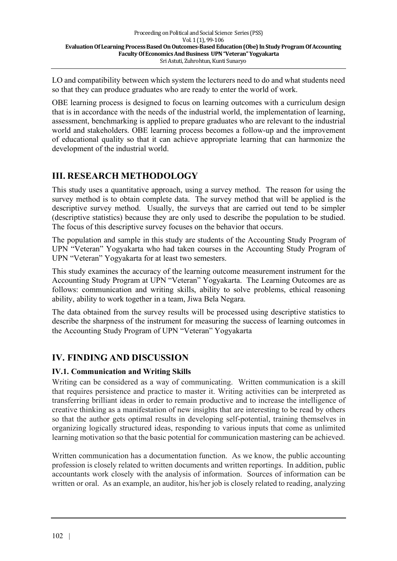LO and compatibility between which system the lecturers need to do and what students need so that they can produce graduates who are ready to enter the world of work.

OBE learning process is designed to focus on learning outcomes with a curriculum design that is in accordance with the needs of the industrial world, the implementation of learning, assessment, benchmarking is applied to prepare graduates who are relevant to the industrial world and stakeholders. OBE learning process becomes a follow-up and the improvement of educational quality so that it can achieve appropriate learning that can harmonize the development of the industrial world.

# **III. RESEARCH METHODOLOGY**

This study uses a quantitative approach, using a survey method. The reason for using the survey method is to obtain complete data. The survey method that will be applied is the descriptive survey method. Usually, the surveys that are carried out tend to be simpler (descriptive statistics) because they are only used to describe the population to be studied. The focus of this descriptive survey focuses on the behavior that occurs.

The population and sample in this study are students of the Accounting Study Program of UPN "Veteran" Yogyakarta who had taken courses in the Accounting Study Program of UPN "Veteran" Yogyakarta for at least two semesters.

This study examines the accuracy of the learning outcome measurement instrument for the Accounting Study Program at UPN "Veteran" Yogyakarta. The Learning Outcomes are as follows: communication and writing skills, ability to solve problems, ethical reasoning ability, ability to work together in a team, Jiwa Bela Negara.

The data obtained from the survey results will be processed using descriptive statistics to describe the sharpness of the instrument for measuring the success of learning outcomes in the Accounting Study Program of UPN "Veteran" Yogyakarta

## **IV. FINDING AND DISCUSSION**

### **IV.1. Communication and Writing Skills**

Writing can be considered as a way of communicating. Written communication is a skill that requires persistence and practice to master it. Writing activities can be interpreted as transferring brilliant ideas in order to remain productive and to increase the intelligence of creative thinking as a manifestation of new insights that are interesting to be read by others so that the author gets optimal results in developing self-potential, training themselves in organizing logically structured ideas, responding to various inputs that come as unlimited learning motivation so that the basic potential for communication mastering can be achieved.

Written communication has a documentation function. As we know, the public accounting profession is closely related to written documents and written reportings. In addition, public accountants work closely with the analysis of information. Sources of information can be written or oral. As an example, an auditor, his/her job is closely related to reading, analyzing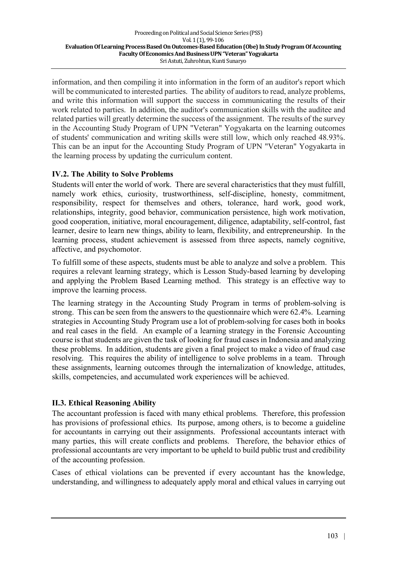information, and then compiling it into information in the form of an auditor's report which will be communicated to interested parties. The ability of auditors to read, analyze problems, and write this information will support the success in communicating the results of their work related to parties. In addition, the auditor's communication skills with the auditee and related parties will greatly determine the success of the assignment. The results of the survey in the Accounting Study Program of UPN "Veteran" Yogyakarta on the learning outcomes of students' communication and writing skills were still low, which only reached 48.93%. This can be an input for the Accounting Study Program of UPN "Veteran" Yogyakarta in the learning process by updating the curriculum content.

### **IV.2. The Ability to Solve Problems**

Students will enter the world of work. There are several characteristics that they must fulfill, namely work ethics, curiosity, trustworthiness, self-discipline, honesty, commitment, responsibility, respect for themselves and others, tolerance, hard work, good work, relationships, integrity, good behavior, communication persistence, high work motivation, good cooperation, initiative, moral encouragement, diligence, adaptability, self-control, fast learner, desire to learn new things, ability to learn, flexibility, and entrepreneurship. In the learning process, student achievement is assessed from three aspects, namely cognitive, affective, and psychomotor.

To fulfill some of these aspects, students must be able to analyze and solve a problem. This requires a relevant learning strategy, which is Lesson Study-based learning by developing and applying the Problem Based Learning method. This strategy is an effective way to improve the learning process.

The learning strategy in the Accounting Study Program in terms of problem-solving is strong. This can be seen from the answers to the questionnaire which were 62.4%. Learning strategies in Accounting Study Program use a lot of problem-solving for cases both in books and real cases in the field. An example of a learning strategy in the Forensic Accounting course is that students are given the task of looking for fraud cases in Indonesia and analyzing these problems. In addition, students are given a final project to make a video of fraud case resolving. This requires the ability of intelligence to solve problems in a team. Through these assignments, learning outcomes through the internalization of knowledge, attitudes, skills, competencies, and accumulated work experiences will be achieved.

#### **II.3. Ethical Reasoning Ability**

The accountant profession is faced with many ethical problems. Therefore, this profession has provisions of professional ethics. Its purpose, among others, is to become a guideline for accountants in carrying out their assignments. Professional accountants interact with many parties, this will create conflicts and problems. Therefore, the behavior ethics of professional accountants are very important to be upheld to build public trust and credibility of the accounting profession.

Cases of ethical violations can be prevented if every accountant has the knowledge, understanding, and willingness to adequately apply moral and ethical values in carrying out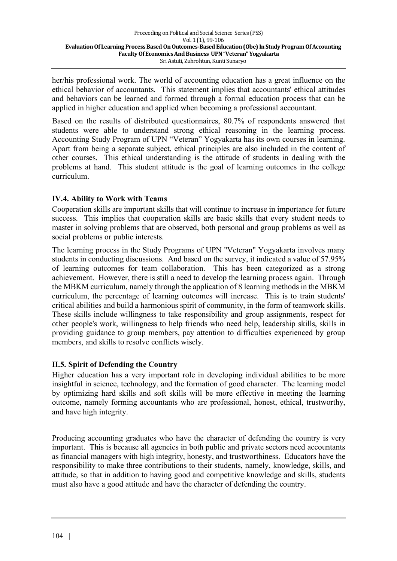her/his professional work. The world of accounting education has a great influence on the ethical behavior of accountants. This statement implies that accountants' ethical attitudes and behaviors can be learned and formed through a formal education process that can be applied in higher education and applied when becoming a professional accountant.

Based on the results of distributed questionnaires, 80.7% of respondents answered that students were able to understand strong ethical reasoning in the learning process. Accounting Study Program of UPN "Veteran" Yogyakarta has its own courses in learning. Apart from being a separate subject, ethical principles are also included in the content of other courses. This ethical understanding is the attitude of students in dealing with the problems at hand. This student attitude is the goal of learning outcomes in the college curriculum.

#### **IV.4. Ability to Work with Teams**

Cooperation skills are important skills that will continue to increase in importance for future success. This implies that cooperation skills are basic skills that every student needs to master in solving problems that are observed, both personal and group problems as well as social problems or public interests.

The learning process in the Study Programs of UPN "Veteran" Yogyakarta involves many students in conducting discussions. And based on the survey, it indicated a value of 57.95% of learning outcomes for team collaboration. This has been categorized as a strong achievement. However, there is still a need to develop the learning process again. Through the MBKM curriculum, namely through the application of 8 learning methods in the MBKM curriculum, the percentage of learning outcomes will increase. This is to train students' critical abilities and build a harmonious spirit of community, in the form of teamwork skills. These skills include willingness to take responsibility and group assignments, respect for other people's work, willingness to help friends who need help, leadership skills, skills in providing guidance to group members, pay attention to difficulties experienced by group members, and skills to resolve conflicts wisely.

#### **II.5. Spirit of Defending the Country**

Higher education has a very important role in developing individual abilities to be more insightful in science, technology, and the formation of good character. The learning model by optimizing hard skills and soft skills will be more effective in meeting the learning outcome, namely forming accountants who are professional, honest, ethical, trustworthy, and have high integrity.

Producing accounting graduates who have the character of defending the country is very important. This is because all agencies in both public and private sectors need accountants as financial managers with high integrity, honesty, and trustworthiness. Educators have the responsibility to make three contributions to their students, namely, knowledge, skills, and attitude, so that in addition to having good and competitive knowledge and skills, students must also have a good attitude and have the character of defending the country.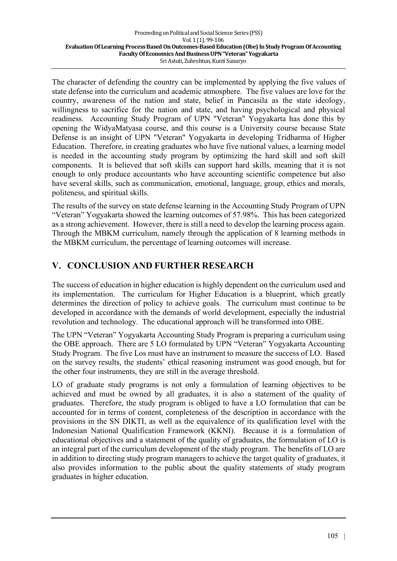The character of defending the country can be implemented by applying the five values of state defense into the curriculum and academic atmosphere. The five values are love for the country, awareness of the nation and state, belief in Pancasila as the state ideology, willingness to sacrifice for the nation and state, and having psychological and physical readiness. Accounting Study Program of UPN "Veteran" Yogyakarta has done this by opening the WidyaMatyasa course, and this course is a University course because State Defense is an insight of UPN "Veteran" Yogyakarta in developing Tridharma of Higher Education. Therefore, in creating graduates who have five national values, a learning model is needed in the accounting study program by optimizing the hard skill and soft skill components. It is believed that soft skills can support hard skills, meaning that it is not enough to only produce accountants who have accounting scientific competence but also have several skills, such as communication, emotional, language, group, ethics and morals, politeness, and spiritual skills.

The results of the survey on state defense learning in the Accounting Study Program of UPN "Veteran" Yogyakarta showed the learning outcomes of 57.98%. This has been categorized as a strong achievement. However, there is still a need to develop the learning process again. Through the MBKM curriculum, namely through the application of 8 learning methods in the MBKM curriculum, the percentage of learning outcomes will increase.

## **V. CONCLUSION AND FURTHER RESEARCH**

The success of education in higher education is highly dependent on the curriculum used and its implementation. The curriculum for Higher Education is a blueprint, which greatly determines the direction of policy to achieve goals. The curriculum must continue to be developed in accordance with the demands of world development, especially the industrial revolution and technology. The educational approach will be transformed into OBE.

The UPN "Veteran" Yogyakarta Accounting Study Program is preparing a curriculum using the OBE approach. There are 5 LO formulated by UPN "Veteran" Yogyakarta Accounting Study Program. The five Los must have an instrument to measure the success of LO. Based on the survey results, the students' ethical reasoning instrument was good enough, but for the other four instruments, they are still in the average threshold.

LO of graduate study programs is not only a formulation of learning objectives to be achieved and must be owned by all graduates, it is also a statement of the quality of graduates. Therefore, the study program is obliged to have a LO formulation that can be accounted for in terms of content, completeness of the description in accordance with the provisions in the SN DIKTI, as well as the equivalence of its qualification level with the Indonesian National Qualification Framework (KKNI). Because it is a formulation of educational objectives and a statement of the quality of graduates, the formulation of LO is an integral part of the curriculum development of the study program. The benefits of LO are in addition to directing study program managers to achieve the target quality of graduates, it also provides information to the public about the quality statements of study program graduates in higher education.